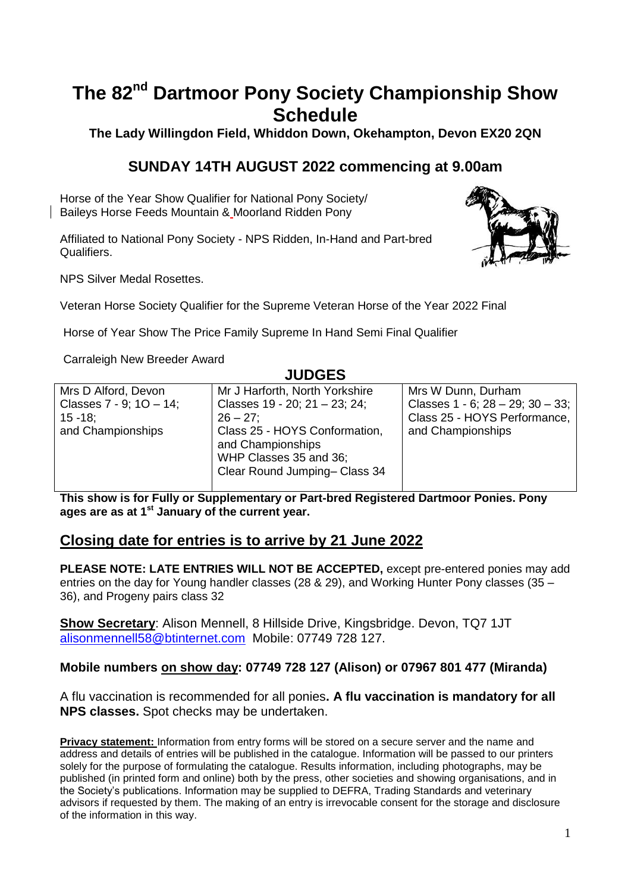# **The 82nd Dartmoor Pony Society Championship Show Schedule**

**The Lady Willingdon Field, Whiddon Down, Okehampton, Devon EX20 2QN**

# **SUNDAY 14TH AUGUST 2022 commencing at 9.00am**

Horse of the Year Show Qualifier for National Pony Society/ Baileys Horse Feeds Mountain & Moorland Ridden Pony

Affiliated to National Pony Society - NPS Ridden, In-Hand and Part-bred Qualifiers.



NPS Silver Medal Rosettes.

Veteran Horse Society Qualifier for the Supreme Veteran Horse of the Year 2022 Final

Horse of Year Show The Price Family Supreme In Hand Semi Final Qualifier

Carraleigh New Breeder Award

#### **JUDGES**

| Mrs D Alford, Devon     | Mr J Harforth, North Yorkshire                                                                               | Mrs W Dunn, Durham                        |
|-------------------------|--------------------------------------------------------------------------------------------------------------|-------------------------------------------|
| Classes 7 - 9; 10 - 14; | Classes 19 - 20; 21 - 23; 24;                                                                                | Classes $1 - 6$ ; $28 - 29$ ; $30 - 33$ ; |
| $15 - 18$ :             | $26 - 27$                                                                                                    | Class 25 - HOYS Performance,              |
| and Championships       | Class 25 - HOYS Conformation,<br>and Championships<br>WHP Classes 35 and 36;<br>Clear Round Jumping-Class 34 | and Championships                         |

**This show is for Fully or Supplementary or Part-bred Registered Dartmoor Ponies. Pony ages are as at 1st January of the current year.**

### **Closing date for entries is to arrive by 21 June 2022**

**PLEASE NOTE: LATE ENTRIES WILL NOT BE ACCEPTED,** except pre-entered ponies may add entries on the day for Young handler classes (28 & 29), and Working Hunter Pony classes (35 – 36), and Progeny pairs class 32

**Show Secretary**: Alison Mennell, 8 Hillside Drive, Kingsbridge. Devon, TQ7 1JT [alisonmennell58@btinternet.com](mailto:alisonmennell58@btinternet.com) Mobile: 07749 728 127.

#### **Mobile numbers on show day: 07749 728 127 (Alison) or 07967 801 477 (Miranda)**

A flu vaccination is recommended for all ponies**. A flu vaccination is mandatory for all NPS classes.** Spot checks may be undertaken.

**Privacy statement:** Information from entry forms will be stored on a secure server and the name and address and details of entries will be published in the catalogue. Information will be passed to our printers solely for the purpose of formulating the catalogue. Results information, including photographs, may be published (in printed form and online) both by the press, other societies and showing organisations, and in the Society's publications. Information may be supplied to DEFRA, Trading Standards and veterinary advisors if requested by them. The making of an entry is irrevocable consent for the storage and disclosure of the information in this way.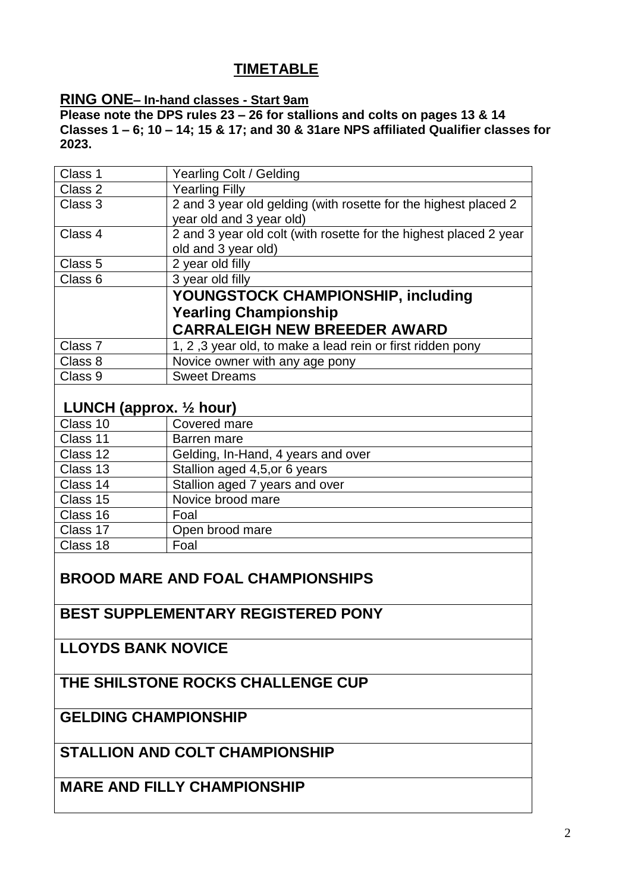# **TIMETABLE**

#### **RING ONE– In-hand classes - Start 9am**

**Please note the DPS rules 23 – 26 for stallions and colts on pages 13 & 14 Classes 1 – 6; 10 – 14; 15 & 17; and 30 & 31are NPS affiliated Qualifier classes for 2023.**

| Class 1                            | Yearling Colt / Gelding                                           |
|------------------------------------|-------------------------------------------------------------------|
| Class 2                            | <b>Yearling Filly</b>                                             |
| Class 3                            | 2 and 3 year old gelding (with rosette for the highest placed 2   |
|                                    | year old and 3 year old)                                          |
| Class 4                            | 2 and 3 year old colt (with rosette for the highest placed 2 year |
|                                    | old and 3 year old)                                               |
| Class 5                            | 2 year old filly                                                  |
| Class 6                            | 3 year old filly                                                  |
|                                    | YOUNGSTOCK CHAMPIONSHIP, including                                |
|                                    | <b>Yearling Championship</b>                                      |
|                                    | <b>CARRALEIGH NEW BREEDER AWARD</b>                               |
| Class 7                            | 1, 2, 3 year old, to make a lead rein or first ridden pony        |
| Class 8                            | Novice owner with any age pony                                    |
| Class 9                            | <b>Sweet Dreams</b>                                               |
|                                    |                                                                   |
| LUNCH (approx. $\frac{1}{2}$ hour) |                                                                   |
| Class 10                           | Covered mare                                                      |
| Class 11                           | Barren mare                                                       |
| Class 12                           | Gelding, In-Hand, 4 years and over                                |
| Class 13                           | Stallion aged 4,5, or 6 years                                     |
| Class 14                           | Stallion aged 7 years and over                                    |
| Class 15                           | Novice brood mare                                                 |
| Class 16                           | Foal                                                              |
| Class 17                           | Open brood mare                                                   |

# **BROOD MARE AND FOAL CHAMPIONSHIPS**

# **BEST SUPPLEMENTARY REGISTERED PONY**

**LLOYDS BANK NOVICE**

Class 18 Foal

# **THE SHILSTONE ROCKS CHALLENGE CUP**

# **GELDING CHAMPIONSHIP**

# **STALLION AND COLT CHAMPIONSHIP**

# **MARE AND FILLY CHAMPIONSHIP**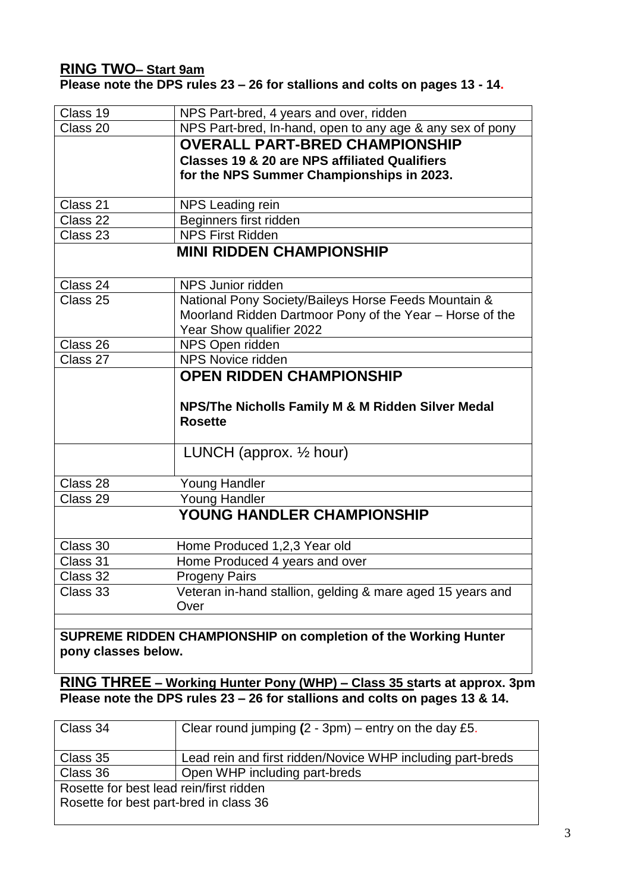### **RING TWO– Start 9am Please note the DPS rules 23 – 26 for stallions and colts on pages 13 - 14.**

| Class 19   | NPS Part-bred, 4 years and over, ridden                         |
|------------|-----------------------------------------------------------------|
| Class 20   | NPS Part-bred, In-hand, open to any age & any sex of pony       |
|            | <b>OVERALL PART-BRED CHAMPIONSHIP</b>                           |
|            | <b>Classes 19 &amp; 20 are NPS affiliated Qualifiers</b>        |
|            | for the NPS Summer Championships in 2023.                       |
|            |                                                                 |
| Class 21   | NPS Leading rein                                                |
| Class 22   | Beginners first ridden                                          |
| Class 23   | <b>NPS First Ridden</b>                                         |
|            | <b>MINI RIDDEN CHAMPIONSHIP</b>                                 |
|            |                                                                 |
| Class 24   | NPS Junior ridden                                               |
| Class 25   | National Pony Society/Baileys Horse Feeds Mountain &            |
|            | Moorland Ridden Dartmoor Pony of the Year - Horse of the        |
|            | Year Show qualifier 2022                                        |
| Class 26   | NPS Open ridden                                                 |
| Class $27$ | <b>NPS Novice ridden</b>                                        |
|            | <b>OPEN RIDDEN CHAMPIONSHIP</b>                                 |
|            |                                                                 |
|            | NPS/The Nicholls Family M & M Ridden Silver Medal               |
|            | <b>Rosette</b>                                                  |
|            |                                                                 |
|            | LUNCH (approx. $\frac{1}{2}$ hour)                              |
|            |                                                                 |
| Class 28   | <b>Young Handler</b>                                            |
| Class 29   | <b>Young Handler</b>                                            |
|            | <b>YOUNG HANDLER CHAMPIONSHIP</b>                               |
| Class 30   | Home Produced 1,2,3 Year old                                    |
| Class 31   | Home Produced 4 years and over                                  |
| Class 32   | <b>Progeny Pairs</b>                                            |
| Class 33   | Veteran in-hand stallion, gelding & mare aged 15 years and      |
|            | Over                                                            |
|            |                                                                 |
|            | SUPREME RIDDEN CHAMPIONSHIP on completion of the Working Hunter |

**pony classes below.**

**RING THREE – Working Hunter Pony (WHP) – Class 35 starts at approx. 3pm Please note the DPS rules 23 – 26 for stallions and colts on pages 13 & 14.**

| Class 34                                                                          | Clear round jumping $(2 - 3pm)$ – entry on the day £5.     |
|-----------------------------------------------------------------------------------|------------------------------------------------------------|
| Class 35                                                                          | Lead rein and first ridden/Novice WHP including part-breds |
| Class 36                                                                          | Open WHP including part-breds                              |
| Rosette for best lead rein/first ridden<br>Rosette for best part-bred in class 36 |                                                            |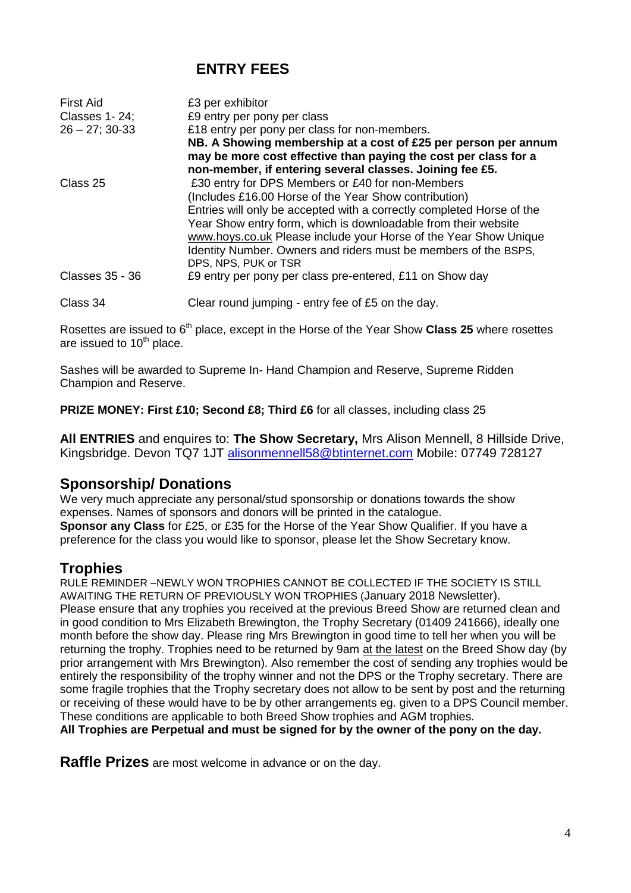# **ENTRY FEES**

| <b>First Aid</b><br>Classes 1-24;<br>$26 - 27$ ; 30-33 | £3 per exhibitor<br>£9 entry per pony per class<br>£18 entry per pony per class for non-members.<br>NB. A Showing membership at a cost of £25 per person per annum<br>may be more cost effective than paying the cost per class for a<br>non-member, if entering several classes. Joining fee £5.                                                                                                                   |
|--------------------------------------------------------|---------------------------------------------------------------------------------------------------------------------------------------------------------------------------------------------------------------------------------------------------------------------------------------------------------------------------------------------------------------------------------------------------------------------|
| Class 25                                               | £30 entry for DPS Members or £40 for non-Members<br>(Includes £16.00 Horse of the Year Show contribution)<br>Entries will only be accepted with a correctly completed Horse of the<br>Year Show entry form, which is downloadable from their website<br>www.hoys.co.uk Please include your Horse of the Year Show Unique<br>Identity Number. Owners and riders must be members of the BSPS,<br>DPS, NPS, PUK or TSR |
| Classes 35 - 36                                        | £9 entry per pony per class pre-entered, £11 on Show day                                                                                                                                                                                                                                                                                                                                                            |
| Class 34                                               | Clear round jumping - entry fee of £5 on the day.                                                                                                                                                                                                                                                                                                                                                                   |

Rosettes are issued to 6<sup>th</sup> place, except in the Horse of the Year Show **Class 25** where rosettes are issued to  $10<sup>th</sup>$  place.

Sashes will be awarded to Supreme In- Hand Champion and Reserve, Supreme Ridden Champion and Reserve.

**PRIZE MONEY: First £10; Second £8; Third £6** for all classes, including class 25

**All ENTRIES** and enquires to: **The Show Secretary,** Mrs Alison Mennell, 8 Hillside Drive, Kingsbridge. Devon TQ7 1JT [alisonmennell58@btinternet.com](mailto:alisonmennell58@btinternet.com) Mobile: 07749 728127

### **Sponsorship/ Donations**

We very much appreciate any personal/stud sponsorship or donations towards the show expenses. Names of sponsors and donors will be printed in the catalogue. **Sponsor any Class** for £25, or £35 for the Horse of the Year Show Qualifier. If you have a preference for the class you would like to sponsor, please let the Show Secretary know.

# **Trophies**

RULE REMINDER –NEWLY WON TROPHIES CANNOT BE COLLECTED IF THE SOCIETY IS STILL AWAITING THE RETURN OF PREVIOUSLY WON TROPHIES (January 2018 Newsletter). Please ensure that any trophies you received at the previous Breed Show are returned clean and in good condition to Mrs Elizabeth Brewington, the Trophy Secretary (01409 241666), ideally one month before the show day. Please ring Mrs Brewington in good time to tell her when you will be returning the trophy. Trophies need to be returned by 9am at the latest on the Breed Show day (by prior arrangement with Mrs Brewington). Also remember the cost of sending any trophies would be entirely the responsibility of the trophy winner and not the DPS or the Trophy secretary. There are some fragile trophies that the Trophy secretary does not allow to be sent by post and the returning or receiving of these would have to be by other arrangements eg. given to a DPS Council member. These conditions are applicable to both Breed Show trophies and AGM trophies.

**All Trophies are Perpetual and must be signed for by the owner of the pony on the day.** 

**Raffle Prizes** are most welcome in advance or on the day.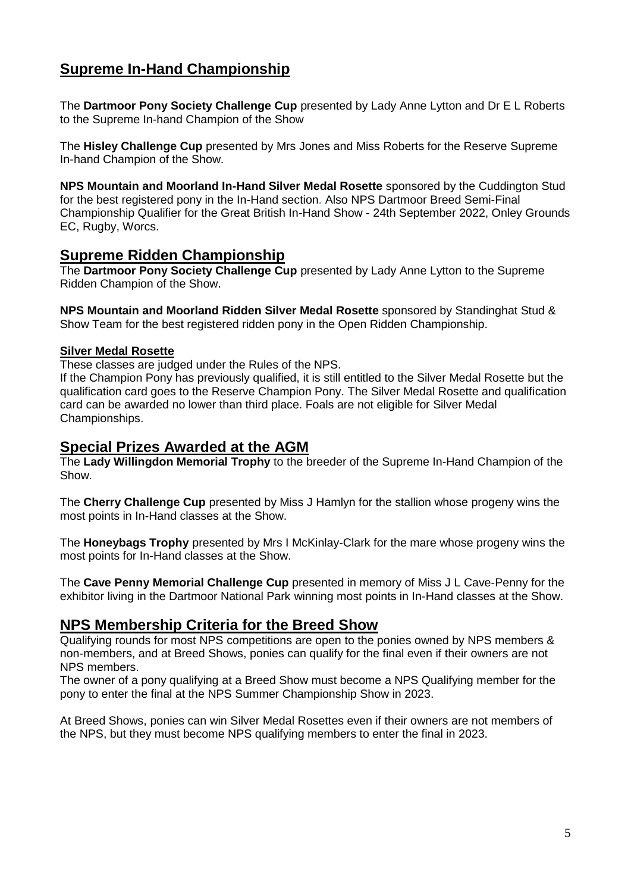# **Supreme In-Hand Championship**

The **Dartmoor Pony Society Challenge Cup** presented by Lady Anne Lytton and Dr E L Roberts to the Supreme In-hand Champion of the Show

The **Hisley Challenge Cup** presented by Mrs Jones and Miss Roberts for the Reserve Supreme In-hand Champion of the Show.

**NPS Mountain and Moorland In-Hand Silver Medal Rosette** sponsored by the Cuddington Stud for the best registered pony in the In-Hand section. Also NPS Dartmoor Breed Semi-Final Championship Qualifier for the Great British In-Hand Show - 24th September 2022, Onley Grounds EC, Rugby, Worcs.

### **Supreme Ridden Championship**

The **Dartmoor Pony Society Challenge Cup** presented by Lady Anne Lytton to the Supreme Ridden Champion of the Show.

**NPS Mountain and Moorland Ridden Silver Medal Rosette** sponsored by Standinghat Stud & Show Team for the best registered ridden pony in the Open Ridden Championship.

#### **Silver Medal Rosette**

These classes are judged under the Rules of the NPS.

If the Champion Pony has previously qualified, it is still entitled to the Silver Medal Rosette but the qualification card goes to the Reserve Champion Pony. The Silver Medal Rosette and qualification card can be awarded no lower than third place. Foals are not eligible for Silver Medal Championships.

#### **Special Prizes Awarded at the AGM**

The **Lady Willingdon Memorial Trophy** to the breeder of the Supreme In-Hand Champion of the Show.

The **Cherry Challenge Cup** presented by Miss J Hamlyn for the stallion whose progeny wins the most points in In-Hand classes at the Show.

The **Honeybags Trophy** presented by Mrs I McKinlay-Clark for the mare whose progeny wins the most points for In-Hand classes at the Show.

The **Cave Penny Memorial Challenge Cup** presented in memory of Miss J L Cave-Penny for the exhibitor living in the Dartmoor National Park winning most points in In-Hand classes at the Show.

#### **NPS Membership Criteria for the Breed Show**

Qualifying rounds for most NPS competitions are open to the ponies owned by NPS members & non-members, and at Breed Shows, ponies can qualify for the final even if their owners are not NPS members.

The owner of a pony qualifying at a Breed Show must become a NPS Qualifying member for the pony to enter the final at the NPS Summer Championship Show in 2023.

At Breed Shows, ponies can win Silver Medal Rosettes even if their owners are not members of the NPS, but they must become NPS qualifying members to enter the final in 2023.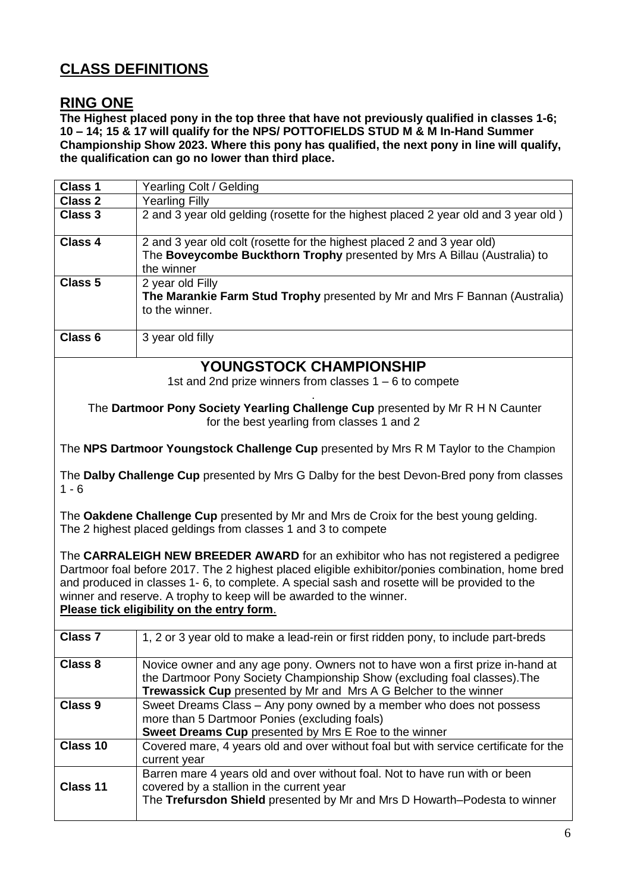# **CLASS DEFINITIONS**

### **RING ONE**

**The Highest placed pony in the top three that have not previously qualified in classes 1-6; 10 – 14; 15 & 17 will qualify for the NPS/ POTTOFIELDS STUD M & M In-Hand Summer Championship Show 2023. Where this pony has qualified, the next pony in line will qualify, the qualification can go no lower than third place.**

| Class 1                                                                                                                                                                                                                                                                                                                                                                                                      | Yearling Colt / Gelding                                                                                                                                                                                                                |  |  |
|--------------------------------------------------------------------------------------------------------------------------------------------------------------------------------------------------------------------------------------------------------------------------------------------------------------------------------------------------------------------------------------------------------------|----------------------------------------------------------------------------------------------------------------------------------------------------------------------------------------------------------------------------------------|--|--|
| Class 2                                                                                                                                                                                                                                                                                                                                                                                                      | <b>Yearling Filly</b>                                                                                                                                                                                                                  |  |  |
| <b>Class 3</b>                                                                                                                                                                                                                                                                                                                                                                                               | 2 and 3 year old gelding (rosette for the highest placed 2 year old and 3 year old)                                                                                                                                                    |  |  |
| Class 4                                                                                                                                                                                                                                                                                                                                                                                                      | 2 and 3 year old colt (rosette for the highest placed 2 and 3 year old)<br>The Boveycombe Buckthorn Trophy presented by Mrs A Billau (Australia) to<br>the winner                                                                      |  |  |
| Class <sub>5</sub>                                                                                                                                                                                                                                                                                                                                                                                           | 2 year old Filly<br>The Marankie Farm Stud Trophy presented by Mr and Mrs F Bannan (Australia)<br>to the winner.                                                                                                                       |  |  |
| Class <sub>6</sub>                                                                                                                                                                                                                                                                                                                                                                                           | 3 year old filly                                                                                                                                                                                                                       |  |  |
|                                                                                                                                                                                                                                                                                                                                                                                                              | <b>YOUNGSTOCK CHAMPIONSHIP</b>                                                                                                                                                                                                         |  |  |
|                                                                                                                                                                                                                                                                                                                                                                                                              | 1st and 2nd prize winners from classes $1 - 6$ to compete                                                                                                                                                                              |  |  |
|                                                                                                                                                                                                                                                                                                                                                                                                              | The Dartmoor Pony Society Yearling Challenge Cup presented by Mr R H N Caunter<br>for the best yearling from classes 1 and 2                                                                                                           |  |  |
|                                                                                                                                                                                                                                                                                                                                                                                                              | The NPS Dartmoor Youngstock Challenge Cup presented by Mrs R M Taylor to the Champion                                                                                                                                                  |  |  |
| $1 - 6$                                                                                                                                                                                                                                                                                                                                                                                                      | The Dalby Challenge Cup presented by Mrs G Dalby for the best Devon-Bred pony from classes                                                                                                                                             |  |  |
|                                                                                                                                                                                                                                                                                                                                                                                                              | The Oakdene Challenge Cup presented by Mr and Mrs de Croix for the best young gelding.<br>The 2 highest placed geldings from classes 1 and 3 to compete                                                                                |  |  |
| The CARRALEIGH NEW BREEDER AWARD for an exhibitor who has not registered a pedigree<br>Dartmoor foal before 2017. The 2 highest placed eligible exhibitor/ponies combination, home bred<br>and produced in classes 1-6, to complete. A special sash and rosette will be provided to the<br>winner and reserve. A trophy to keep will be awarded to the winner.<br>Please tick eligibility on the entry form. |                                                                                                                                                                                                                                        |  |  |
| <b>Class 7</b>                                                                                                                                                                                                                                                                                                                                                                                               | 1, 2 or 3 year old to make a lead-rein or first ridden pony, to include part-breds                                                                                                                                                     |  |  |
| Class 8                                                                                                                                                                                                                                                                                                                                                                                                      | Novice owner and any age pony. Owners not to have won a first prize in-hand at<br>the Dartmoor Pony Society Championship Show (excluding foal classes). The<br><b>Trewassick Cup</b> presented by Mr and Mrs A G Belcher to the winner |  |  |
| <b>Class 9</b>                                                                                                                                                                                                                                                                                                                                                                                               | Sweet Dreams Class – Any pony owned by a member who does not possess<br>more than 5 Dartmoor Ponies (excluding foals)<br>Sweet Dreams Cup presented by Mrs E Roe to the winner                                                         |  |  |
| Class 10                                                                                                                                                                                                                                                                                                                                                                                                     | Covered mare, 4 years old and over without foal but with service certificate for the<br>current year                                                                                                                                   |  |  |
| Class 11                                                                                                                                                                                                                                                                                                                                                                                                     | Barren mare 4 years old and over without foal. Not to have run with or been<br>covered by a stallion in the current year<br>The Trefursdon Shield presented by Mr and Mrs D Howarth-Podesta to winner                                  |  |  |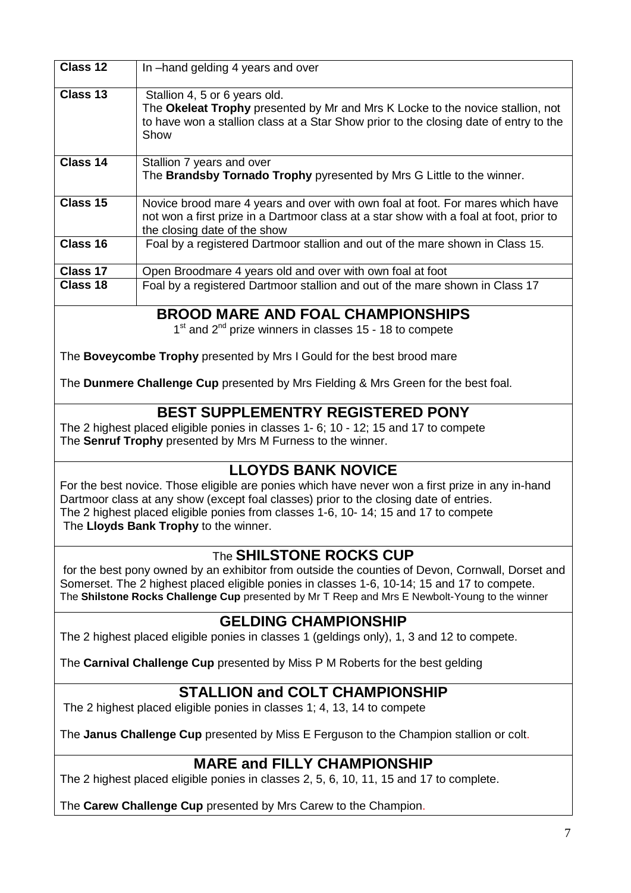| Class 12 | In -hand gelding 4 years and over                                                                                                                                                                                |
|----------|------------------------------------------------------------------------------------------------------------------------------------------------------------------------------------------------------------------|
| Class 13 | Stallion 4, 5 or 6 years old.<br>The Okeleat Trophy presented by Mr and Mrs K Locke to the novice stallion, not<br>to have won a stallion class at a Star Show prior to the closing date of entry to the<br>Show |
| Class 14 | Stallion 7 years and over<br>The <b>Brandsby Tornado Trophy</b> pyresented by Mrs G Little to the winner.                                                                                                        |
| Class 15 | Novice brood mare 4 years and over with own foal at foot. For mares which have<br>not won a first prize in a Dartmoor class at a star show with a foal at foot, prior to<br>the closing date of the show         |
| Class 16 | Foal by a registered Dartmoor stallion and out of the mare shown in Class 15.                                                                                                                                    |
| Class 17 | Open Broodmare 4 years old and over with own foal at foot                                                                                                                                                        |
| Class 18 | Foal by a registered Dartmoor stallion and out of the mare shown in Class 17                                                                                                                                     |

# **BROOD MARE AND FOAL CHAMPIONSHIPS**

1<sup>st</sup> and 2<sup>nd</sup> prize winners in classes 15 - 18 to compete

The **Boveycombe Trophy** presented by Mrs I Gould for the best brood mare

The **Dunmere Challenge Cup** presented by Mrs Fielding & Mrs Green for the best foal.

# **BEST SUPPLEMENTRY REGISTERED PONY**

The 2 highest placed eligible ponies in classes 1- 6; 10 - 12; 15 and 17 to compete The **Senruf Trophy** presented by Mrs M Furness to the winner.

# **LLOYDS BANK NOVICE**

For the best novice. Those eligible are ponies which have never won a first prize in any in-hand Dartmoor class at any show (except foal classes) prior to the closing date of entries. The 2 highest placed eligible ponies from classes 1-6, 10- 14; 15 and 17 to compete The **Lloyds Bank Trophy** to the winner.

# The **SHILSTONE ROCKS CUP**

for the best pony owned by an exhibitor from outside the counties of Devon, Cornwall, Dorset and Somerset. The 2 highest placed eligible ponies in classes 1-6, 10-14; 15 and 17 to compete. The **Shilstone Rocks Challenge Cup** presented by Mr T Reep and Mrs E Newbolt-Young to the winner

# **GELDING CHAMPIONSHIP**

The 2 highest placed eligible ponies in classes 1 (geldings only), 1, 3 and 12 to compete.

The **Carnival Challenge Cup** presented by Miss P M Roberts for the best gelding

# **STALLION and COLT CHAMPIONSHIP**

The 2 highest placed eligible ponies in classes 1; 4, 13, 14 to compete

The **Janus Challenge Cup** presented by Miss E Ferguson to the Champion stallion or colt.

# **MARE and FILLY CHAMPIONSHIP**

The 2 highest placed eligible ponies in classes 2, 5, 6, 10, 11, 15 and 17 to complete.

The **Carew Challenge Cup** presented by Mrs Carew to the Champion.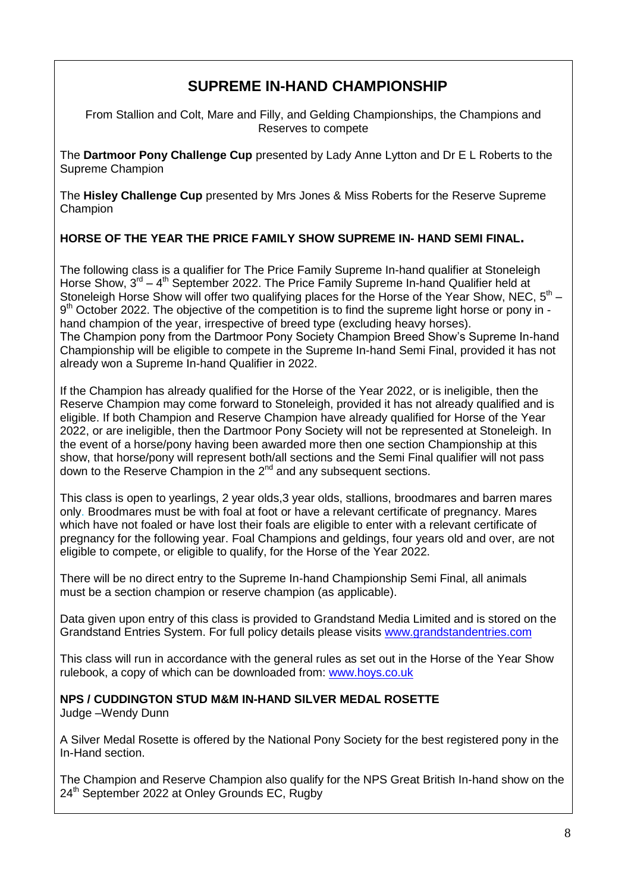# **SUPREME IN-HAND CHAMPIONSHIP**

From Stallion and Colt, Mare and Filly, and Gelding Championships, the Champions and Reserves to compete

The **Dartmoor Pony Challenge Cup** presented by Lady Anne Lytton and Dr E L Roberts to the Supreme Champion

The **Hisley Challenge Cup** presented by Mrs Jones & Miss Roberts for the Reserve Supreme Champion

#### **HORSE OF THE YEAR THE PRICE FAMILY SHOW SUPREME IN- HAND SEMI FINAL.**

The following class is a qualifier for The Price Family Supreme In-hand qualifier at Stoneleigh Horse Show,  $3^{rd} - 4^{th}$  September 2022. The Price Family Supreme In-hand Qualifier held at Stoneleigh Horse Show will offer two qualifying places for the Horse of the Year Show, NEC,  $5<sup>th</sup>$  – 9<sup>th</sup> October 2022. The objective of the competition is to find the supreme light horse or pony in hand champion of the year, irrespective of breed type (excluding heavy horses). The Champion pony from the Dartmoor Pony Society Champion Breed Show's Supreme In-hand Championship will be eligible to compete in the Supreme In-hand Semi Final, provided it has not already won a Supreme In-hand Qualifier in 2022.

If the Champion has already qualified for the Horse of the Year 2022, or is ineligible, then the Reserve Champion may come forward to Stoneleigh, provided it has not already qualified and is eligible. If both Champion and Reserve Champion have already qualified for Horse of the Year 2022, or are ineligible, then the Dartmoor Pony Society will not be represented at Stoneleigh. In the event of a horse/pony having been awarded more then one section Championship at this show, that horse/pony will represent both/all sections and the Semi Final qualifier will not pass down to the Reserve Champion in the  $2^{nd}$  and any subsequent sections.

This class is open to yearlings, 2 year olds,3 year olds, stallions, broodmares and barren mares only. Broodmares must be with foal at foot or have a relevant certificate of pregnancy. Mares which have not foaled or have lost their foals are eligible to enter with a relevant certificate of pregnancy for the following year. Foal Champions and geldings, four years old and over, are not eligible to compete, or eligible to qualify, for the Horse of the Year 2022.

There will be no direct entry to the Supreme In-hand Championship Semi Final, all animals must be a section champion or reserve champion (as applicable).

Data given upon entry of this class is provided to Grandstand Media Limited and is stored on the Grandstand Entries System. For full policy details please visits [www.grandstandentries.com](http://www.grandstandentries.com/)

This class will run in accordance with the general rules as set out in the Horse of the Year Show rulebook, a copy of which can be downloaded from: [www.hoys.co.uk](http://www.hoys.co.uk/)

**NPS / CUDDINGTON STUD M&M IN-HAND SILVER MEDAL ROSETTE** 

Judge –Wendy Dunn

A Silver Medal Rosette is offered by the National Pony Society for the best registered pony in the In-Hand section.

The Champion and Reserve Champion also qualify for the NPS Great British In-hand show on the 24<sup>th</sup> September 2022 at Onley Grounds EC, Rugby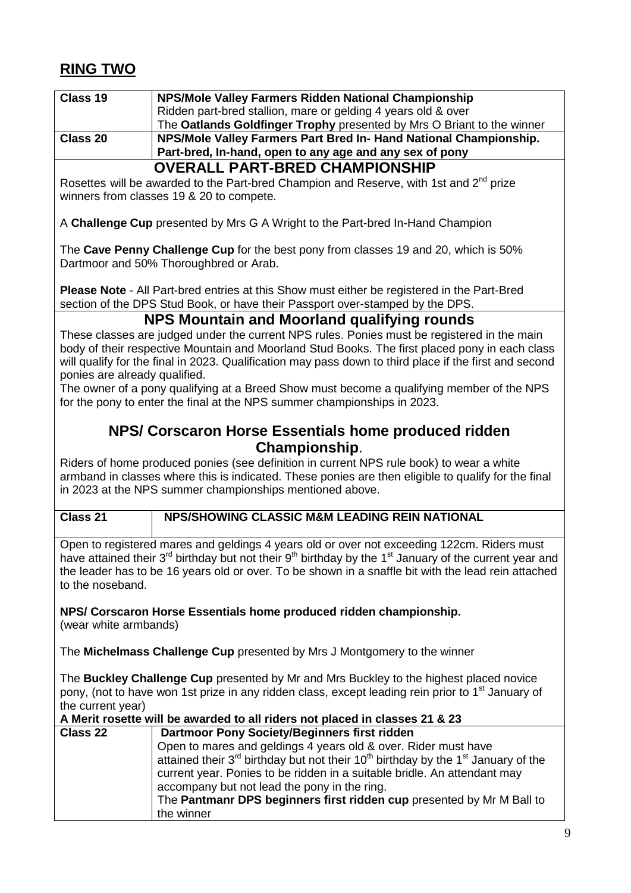# **RING TWO**

| Class 19 | NPS/Mole Valley Farmers Ridden National Championship                   |
|----------|------------------------------------------------------------------------|
|          | Ridden part-bred stallion, mare or gelding 4 years old & over          |
|          | The Oatlands Goldfinger Trophy presented by Mrs O Briant to the winner |
| Class 20 | NPS/Mole Valley Farmers Part Bred In- Hand National Championship.      |
|          | Part-bred, In-hand, open to any age and any sex of pony                |
|          | <b>OVERALL PART-BRED CHAMPIONSHIP</b>                                  |

Rosettes will be awarded to the Part-bred Champion and Reserve, with 1st and  $2^{nd}$  prize winners from classes 19 & 20 to compete.

A **Challenge Cup** presented by Mrs G A Wright to the Part-bred In-Hand Champion

The **Cave Penny Challenge Cup** for the best pony from classes 19 and 20, which is 50% Dartmoor and 50% Thoroughbred or Arab.

**Please Note** - All Part-bred entries at this Show must either be registered in the Part-Bred section of the DPS Stud Book, or have their Passport over-stamped by the DPS.

### **NPS Mountain and Moorland qualifying rounds**

These classes are judged under the current NPS rules. Ponies must be registered in the main body of their respective Mountain and Moorland Stud Books. The first placed pony in each class will qualify for the final in 2023. Qualification may pass down to third place if the first and second ponies are already qualified.

The owner of a pony qualifying at a Breed Show must become a qualifying member of the NPS for the pony to enter the final at the NPS summer championships in 2023.

### **NPS/ Corscaron Horse Essentials home produced ridden Championship**.

Riders of home produced ponies (see definition in current NPS rule book) to wear a white armband in classes where this is indicated. These ponies are then eligible to qualify for the final in 2023 at the NPS summer championships mentioned above.

### **Class 21 NPS/SHOWING CLASSIC M&M LEADING REIN NATIONAL**

Open to registered mares and geldings 4 years old or over not exceeding 122cm. Riders must have attained their 3<sup>rd</sup> birthday but not their 9<sup>th</sup> birthday by the 1<sup>st</sup> January of the current year and the leader has to be 16 years old or over. To be shown in a snaffle bit with the lead rein attached to the noseband.

**NPS/ Corscaron Horse Essentials home produced ridden championship.**  (wear white armbands)

The **Michelmass Challenge Cup** presented by Mrs J Montgomery to the winner

The **Buckley Challenge Cup** presented by Mr and Mrs Buckley to the highest placed novice pony, (not to have won 1st prize in any ridden class, except leading rein prior to 1<sup>st</sup> January of the current year)

#### **A Merit rosette will be awarded to all riders not placed in classes 21 & 23**

| <b>Class 22</b> | Dartmoor Pony Society/Beginners first ridden                                                            |
|-----------------|---------------------------------------------------------------------------------------------------------|
|                 | Open to mares and geldings 4 years old & over. Rider must have                                          |
|                 | attained their $3^{rd}$ birthday but not their $10^{th}$ birthday by the 1 <sup>st</sup> January of the |
|                 | current year. Ponies to be ridden in a suitable bridle. An attendant may                                |
|                 | accompany but not lead the pony in the ring.                                                            |
|                 | The Pantmanr DPS beginners first ridden cup presented by Mr M Ball to                                   |
|                 | the winner                                                                                              |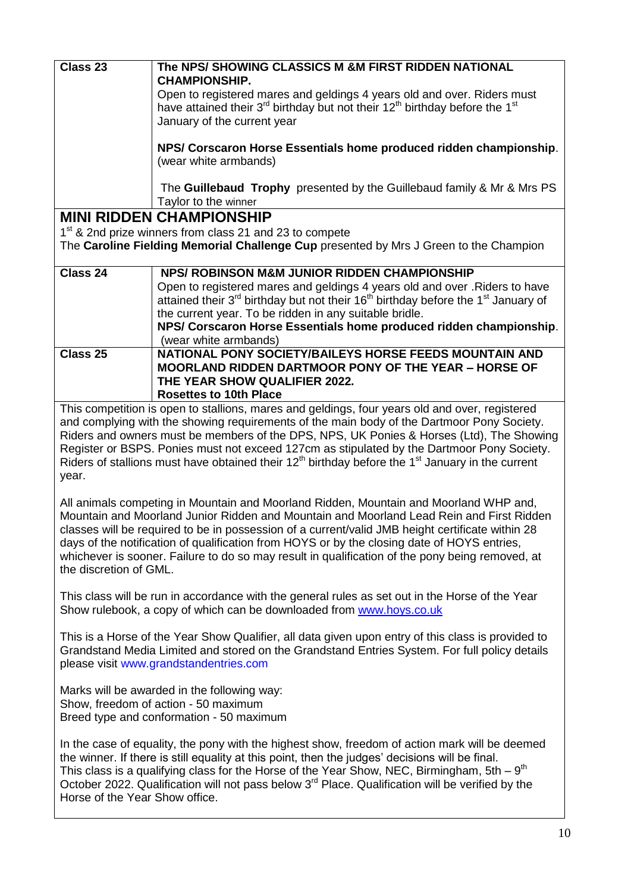| Class 23 | The NPS/ SHOWING CLASSICS M &M FIRST RIDDEN NATIONAL<br><b>CHAMPIONSHIP.</b>                                                                                                                                                                                                                                                                |
|----------|---------------------------------------------------------------------------------------------------------------------------------------------------------------------------------------------------------------------------------------------------------------------------------------------------------------------------------------------|
|          | Open to registered mares and geldings 4 years old and over. Riders must<br>have attained their 3 <sup>rd</sup> birthday but not their 12 <sup>th</sup> birthday before the 1 <sup>st</sup><br>January of the current year                                                                                                                   |
|          | NPS/ Corscaron Horse Essentials home produced ridden championship.<br>(wear white armbands)                                                                                                                                                                                                                                                 |
|          | The Guillebaud Trophy presented by the Guillebaud family & Mr & Mrs PS<br>Taylor to the winner                                                                                                                                                                                                                                              |
|          | <b>MINI RIDDEN CHAMPIONSHIP</b>                                                                                                                                                                                                                                                                                                             |
|          | $\overline{AB}$ 0.0 $\overline{0}$ and $\overline{0}$ and $\overline{0}$ are $\overline{0}$ and $\overline{0}$ and $\overline{0}$ 0.1 $\overline{0}$ and $\overline{0}$ and $\overline{0}$ $\overline{0}$ and $\overline{0}$ and $\overline{0}$ and $\overline{0}$ and $\overline{0}$ and $\overline{0}$ and $\overline{0}$ and $\overline$ |

1<sup>st</sup> & 2nd prize winners from class 21 and 23 to compete

The **Caroline Fielding Memorial Challenge Cup** presented by Mrs J Green to the Champion

| <b>Class 24</b> | NPS/ ROBINSON M&M JUNIOR RIDDEN CHAMPIONSHIP                                                                          |
|-----------------|-----------------------------------------------------------------------------------------------------------------------|
|                 | Open to registered mares and geldings 4 years old and over . Riders to have                                           |
|                 | attained their 3 <sup>rd</sup> birthday but not their 16 <sup>th</sup> birthday before the 1 <sup>st</sup> January of |
|                 | the current year. To be ridden in any suitable bridle.                                                                |
|                 | NPS/ Corscaron Horse Essentials home produced ridden championship.                                                    |
|                 | (wear white armbands)                                                                                                 |
| Class 25        | NATIONAL PONY SOCIETY/BAILEYS HORSE FEEDS MOUNTAIN AND                                                                |
|                 | <b>MOORLAND RIDDEN DARTMOOR PONY OF THE YEAR - HORSE OF</b>                                                           |
|                 | THE YEAR SHOW QUALIFIER 2022.                                                                                         |
|                 | <b>Rosettes to 10th Place</b>                                                                                         |

This competition is open to stallions, mares and geldings, four years old and over, registered and complying with the showing requirements of the main body of the Dartmoor Pony Society. Riders and owners must be members of the DPS, NPS, UK Ponies & Horses (Ltd), The Showing Register or BSPS. Ponies must not exceed 127cm as stipulated by the Dartmoor Pony Society. Riders of stallions must have obtained their  $12<sup>th</sup>$  birthday before the 1<sup>st</sup> January in the current year.

All animals competing in Mountain and Moorland Ridden, Mountain and Moorland WHP and, Mountain and Moorland Junior Ridden and Mountain and Moorland Lead Rein and First Ridden classes will be required to be in possession of a current/valid JMB height certificate within 28 days of the notification of qualification from HOYS or by the closing date of HOYS entries, whichever is sooner. Failure to do so may result in qualification of the pony being removed, at the discretion of GML.

This class will be run in accordance with the general rules as set out in the Horse of the Year Show rulebook, a copy of which can be downloaded from [www.hoys.co.uk](http://www.hoys.co.uk/)

This is a Horse of the Year Show Qualifier, all data given upon entry of this class is provided to Grandstand Media Limited and stored on the Grandstand Entries System. For full policy details please visit [www.grandstandentries.com](http://www.grandstandentries.com/)

Marks will be awarded in the following way: Show, freedom of action - 50 maximum Breed type and conformation - 50 maximum

In the case of equality, the pony with the highest show, freedom of action mark will be deemed the winner. If there is still equality at this point, then the judges' decisions will be final. This class is a qualifying class for the Horse of the Year Show, NEC, Birmingham, 5th –  $9<sup>th</sup>$ October 2022. Qualification will not pass below 3<sup>rd</sup> Place. Qualification will be verified by the Horse of the Year Show office.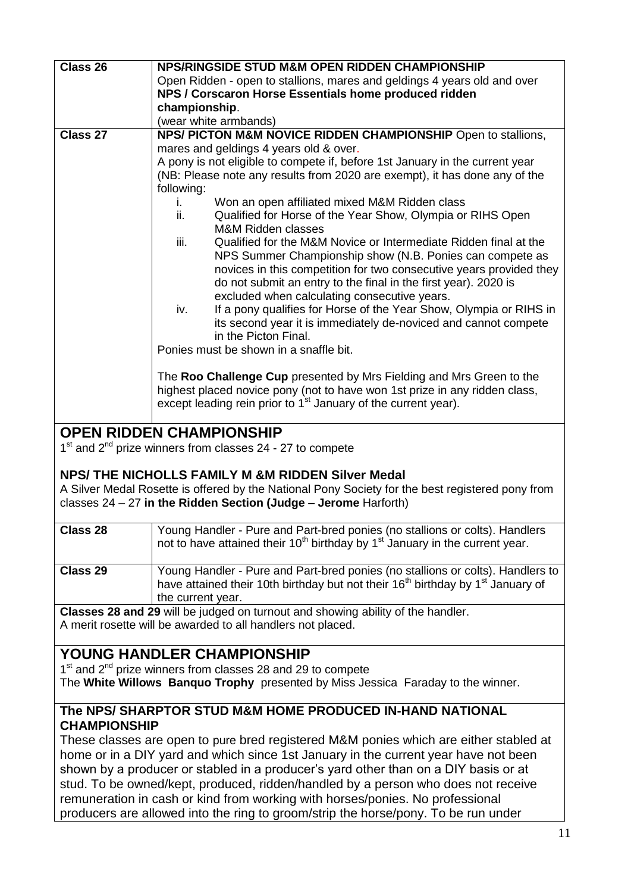| Class 26                                                                              | NPS/RINGSIDE STUD M&M OPEN RIDDEN CHAMPIONSHIP                                                          |  |
|---------------------------------------------------------------------------------------|---------------------------------------------------------------------------------------------------------|--|
|                                                                                       | Open Ridden - open to stallions, mares and geldings 4 years old and over                                |  |
|                                                                                       | NPS / Corscaron Horse Essentials home produced ridden                                                   |  |
|                                                                                       | championship.                                                                                           |  |
|                                                                                       | (wear white armbands)                                                                                   |  |
| Class 27                                                                              | NPS/ PICTON M&M NOVICE RIDDEN CHAMPIONSHIP Open to stallions,                                           |  |
|                                                                                       | mares and geldings 4 years old & over.                                                                  |  |
|                                                                                       | A pony is not eligible to compete if, before 1st January in the current year                            |  |
|                                                                                       |                                                                                                         |  |
|                                                                                       | (NB: Please note any results from 2020 are exempt), it has done any of the                              |  |
|                                                                                       | following:                                                                                              |  |
|                                                                                       | Won an open affiliated mixed M&M Ridden class<br>i.                                                     |  |
|                                                                                       | Qualified for Horse of the Year Show, Olympia or RIHS Open<br>ii.                                       |  |
|                                                                                       | <b>M&amp;M Ridden classes</b>                                                                           |  |
|                                                                                       | Qualified for the M&M Novice or Intermediate Ridden final at the<br>iii.                                |  |
|                                                                                       | NPS Summer Championship show (N.B. Ponies can compete as                                                |  |
|                                                                                       | novices in this competition for two consecutive years provided they                                     |  |
|                                                                                       | do not submit an entry to the final in the first year). 2020 is                                         |  |
|                                                                                       | excluded when calculating consecutive years.                                                            |  |
|                                                                                       | If a pony qualifies for Horse of the Year Show, Olympia or RIHS in<br>iv.                               |  |
|                                                                                       | its second year it is immediately de-noviced and cannot compete                                         |  |
|                                                                                       | in the Picton Final.                                                                                    |  |
|                                                                                       | Ponies must be shown in a snaffle bit.                                                                  |  |
|                                                                                       |                                                                                                         |  |
|                                                                                       | The Roo Challenge Cup presented by Mrs Fielding and Mrs Green to the                                    |  |
|                                                                                       | highest placed novice pony (not to have won 1st prize in any ridden class,                              |  |
|                                                                                       |                                                                                                         |  |
|                                                                                       | except leading rein prior to 1 <sup>st</sup> January of the current year).                              |  |
|                                                                                       |                                                                                                         |  |
|                                                                                       | <b>OPEN RIDDEN CHAMPIONSHIP</b>                                                                         |  |
|                                                                                       | $1st$ and $2nd$ prize winners from classes 24 - 27 to compete                                           |  |
|                                                                                       |                                                                                                         |  |
|                                                                                       | NPS/THE NICHOLLS FAMILY M &M RIDDEN Silver Medal                                                        |  |
|                                                                                       | A Silver Medal Rosette is offered by the National Pony Society for the best registered pony from        |  |
|                                                                                       | classes $24 - 27$ in the Ridden Section (Judge - Jerome Harforth)                                       |  |
|                                                                                       |                                                                                                         |  |
| Class 28                                                                              | Young Handler - Pure and Part-bred ponies (no stallions or colts). Handlers                             |  |
|                                                                                       | not to have attained their 10 <sup>th</sup> birthday by 1 <sup>st</sup> January in the current year.    |  |
|                                                                                       |                                                                                                         |  |
| Class 29                                                                              | Young Handler - Pure and Part-bred ponies (no stallions or colts). Handlers to                          |  |
|                                                                                       | have attained their 10th birthday but not their 16 <sup>th</sup> birthday by 1 <sup>st</sup> January of |  |
|                                                                                       | the current year.                                                                                       |  |
|                                                                                       | Classes 28 and 29 will be judged on turnout and showing ability of the handler.                         |  |
|                                                                                       | A merit rosette will be awarded to all handlers not placed.                                             |  |
|                                                                                       |                                                                                                         |  |
|                                                                                       |                                                                                                         |  |
|                                                                                       | <b>YOUNG HANDLER CHAMPIONSHIP</b>                                                                       |  |
|                                                                                       | 1 <sup>st</sup> and 2 <sup>nd</sup> prize winners from classes 28 and 29 to compete                     |  |
|                                                                                       | The White Willows Banquo Trophy presented by Miss Jessica Faraday to the winner.                        |  |
|                                                                                       |                                                                                                         |  |
|                                                                                       | The NPS/ SHARPTOR STUD M&M HOME PRODUCED IN-HAND NATIONAL                                               |  |
| <b>CHAMPIONSHIP</b>                                                                   |                                                                                                         |  |
|                                                                                       |                                                                                                         |  |
| These classes are open to pure bred registered M&M ponies which are either stabled at |                                                                                                         |  |
| home or in a DIY yard and which since 1st January in the current year have not been   |                                                                                                         |  |
| shown by a producer or stabled in a producer's yard other than on a DIY basis or at   |                                                                                                         |  |
| stud. To be owned/kept, produced, ridden/handled by a person who does not receive     |                                                                                                         |  |
| remuneration in cash or kind from working with horses/ponies. No professional         |                                                                                                         |  |
|                                                                                       | producers are allowed into the ring to groom/strip the horse/pony. To be run under                      |  |
|                                                                                       |                                                                                                         |  |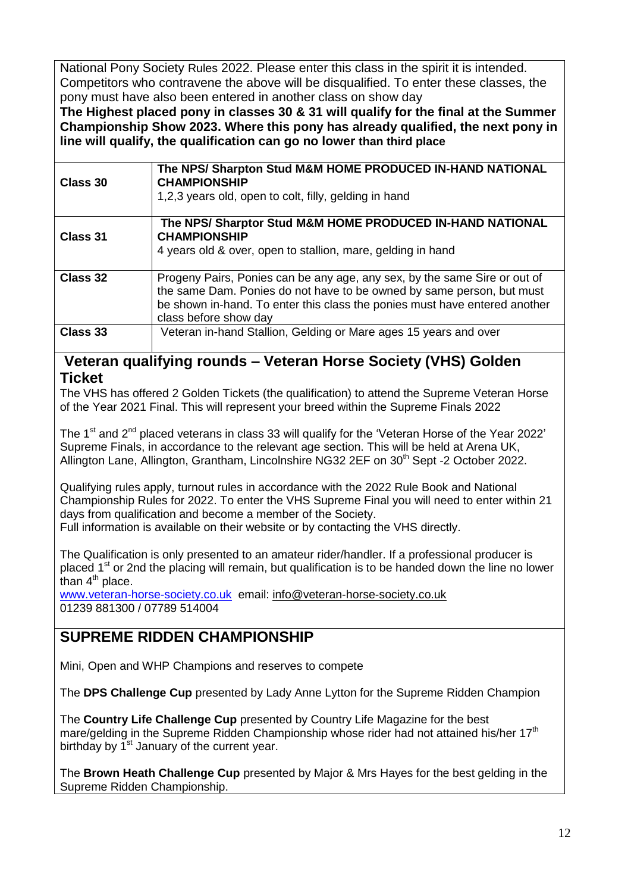National Pony Society Rules 2022. Please enter this class in the spirit it is intended. Competitors who contravene the above will be disqualified. To enter these classes, the pony must have also been entered in another class on show day

**The Highest placed pony in classes 30 & 31 will qualify for the final at the Summer Championship Show 2023. Where this pony has already qualified, the next pony in line will qualify, the qualification can go no lower than third place** 

| Class 30 | The NPS/ Sharpton Stud M&M HOME PRODUCED IN-HAND NATIONAL<br><b>CHAMPIONSHIP</b><br>1,2,3 years old, open to colt, filly, gelding in hand                                                                                                                 |  |
|----------|-----------------------------------------------------------------------------------------------------------------------------------------------------------------------------------------------------------------------------------------------------------|--|
| Class 31 | The NPS/ Sharptor Stud M&M HOME PRODUCED IN-HAND NATIONAL<br><b>CHAMPIONSHIP</b><br>4 years old & over, open to stallion, mare, gelding in hand                                                                                                           |  |
| Class 32 | Progeny Pairs, Ponies can be any age, any sex, by the same Sire or out of<br>the same Dam. Ponies do not have to be owned by same person, but must<br>be shown in-hand. To enter this class the ponies must have entered another<br>class before show day |  |
| Class 33 | Veteran in-hand Stallion, Gelding or Mare ages 15 years and over                                                                                                                                                                                          |  |

### **Veteran qualifying rounds – Veteran Horse Society (VHS) Golden Ticket**

The VHS has offered 2 Golden Tickets (the qualification) to attend the Supreme Veteran Horse of the Year 2021 Final. This will represent your breed within the Supreme Finals 2022

The 1<sup>st</sup> and 2<sup>nd</sup> placed veterans in class 33 will qualify for the 'Veteran Horse of the Year 2022' Supreme Finals, in accordance to the relevant age section. This will be held at Arena UK, Allington Lane, Allington, Grantham, Lincolnshire NG32 2EF on 30<sup>th</sup> Sept -2 October 2022.

Qualifying rules apply, turnout rules in accordance with the 2022 Rule Book and National Championship Rules for 2022. To enter the VHS Supreme Final you will need to enter within 21 days from qualification and become a member of the Society. Full information is available on their website or by contacting the VHS directly.

The Qualification is only presented to an amateur rider/handler. If a professional producer is placed 1<sup>st</sup> or 2nd the placing will remain, but qualification is to be handed down the line no lower than  $4<sup>th</sup>$  place.

[www.veteran-horse-society.co.uk](http://www.veteran-horse-society.co.uk/) email: [info@veteran-horse-society.co.uk](mailto:info@veteran-horse-society.co.uk) 01239 881300 / 07789 514004

# **SUPREME RIDDEN CHAMPIONSHIP**

Mini, Open and WHP Champions and reserves to compete

The **DPS Challenge Cup** presented by Lady Anne Lytton for the Supreme Ridden Champion

The **Country Life Challenge Cup** presented by Country Life Magazine for the best mare/gelding in the Supreme Ridden Championship whose rider had not attained his/her 17<sup>th</sup> birthday by  $1<sup>st</sup>$  January of the current year.

The **Brown Heath Challenge Cup** presented by Major & Mrs Hayes for the best gelding in the Supreme Ridden Championship.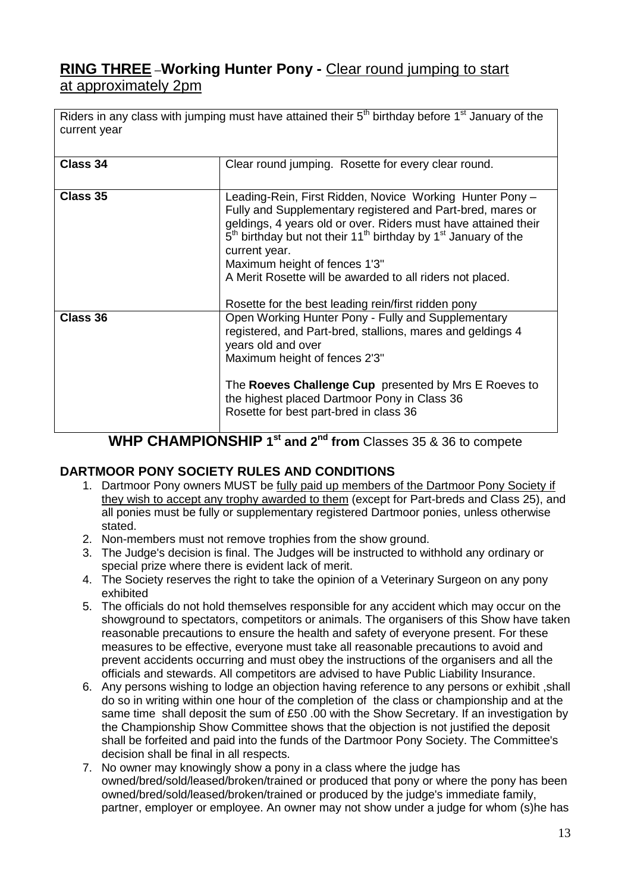# **RING THREE –Working Hunter Pony -** Clear round jumping to start at approximately 2pm

Riders in any class with jumping must have attained their  $5<sup>th</sup>$  birthday before 1<sup>st</sup> January of the current year

| Class 34 | Clear round jumping. Rosette for every clear round.                                                                                                                                                                                                                                                                                                                                                                                                        |
|----------|------------------------------------------------------------------------------------------------------------------------------------------------------------------------------------------------------------------------------------------------------------------------------------------------------------------------------------------------------------------------------------------------------------------------------------------------------------|
| Class 35 | Leading-Rein, First Ridden, Novice Working Hunter Pony -<br>Fully and Supplementary registered and Part-bred, mares or<br>geldings, 4 years old or over. Riders must have attained their<br>$5th$ birthday but not their 11 <sup>th</sup> birthday by 1 <sup>st</sup> January of the<br>current year.<br>Maximum height of fences 1'3"<br>A Merit Rosette will be awarded to all riders not placed.<br>Rosette for the best leading rein/first ridden pony |
| Class 36 | Open Working Hunter Pony - Fully and Supplementary<br>registered, and Part-bred, stallions, mares and geldings 4<br>years old and over<br>Maximum height of fences 2'3"<br>The Roeves Challenge Cup presented by Mrs E Roeves to<br>the highest placed Dartmoor Pony in Class 36<br>Rosette for best part-bred in class 36                                                                                                                                 |

**WHP CHAMPIONSHIP 1 st and 2nd from** Classes 35 & 36 to compete

#### **DARTMOOR PONY SOCIETY RULES AND CONDITIONS**

- 1. Dartmoor Pony owners MUST be fully paid up members of the Dartmoor Pony Society if they wish to accept any trophy awarded to them (except for Part-breds and Class 25), and all ponies must be fully or supplementary registered Dartmoor ponies, unless otherwise stated.
- 2. Non-members must not remove trophies from the show ground.
- 3. The Judge's decision is final. The Judges will be instructed to withhold any ordinary or special prize where there is evident lack of merit.
- 4. The Society reserves the right to take the opinion of a Veterinary Surgeon on any pony exhibited
- 5. The officials do not hold themselves responsible for any accident which may occur on the showground to spectators, competitors or animals. The organisers of this Show have taken reasonable precautions to ensure the health and safety of everyone present. For these measures to be effective, everyone must take all reasonable precautions to avoid and prevent accidents occurring and must obey the instructions of the organisers and all the officials and stewards. All competitors are advised to have Public Liability Insurance.
- 6. Any persons wishing to lodge an objection having reference to any persons or exhibit ,shall do so in writing within one hour of the completion of the class or championship and at the same time shall deposit the sum of £50 .00 with the Show Secretary. If an investigation by the Championship Show Committee shows that the objection is not justified the deposit shall be forfeited and paid into the funds of the Dartmoor Pony Society. The Committee's decision shall be final in all respects.
- 7. No owner may knowingly show a pony in a class where the judge has owned/bred/sold/leased/broken/trained or produced that pony or where the pony has been owned/bred/sold/leased/broken/trained or produced by the judge's immediate family, partner, employer or employee. An owner may not show under a judge for whom (s)he has